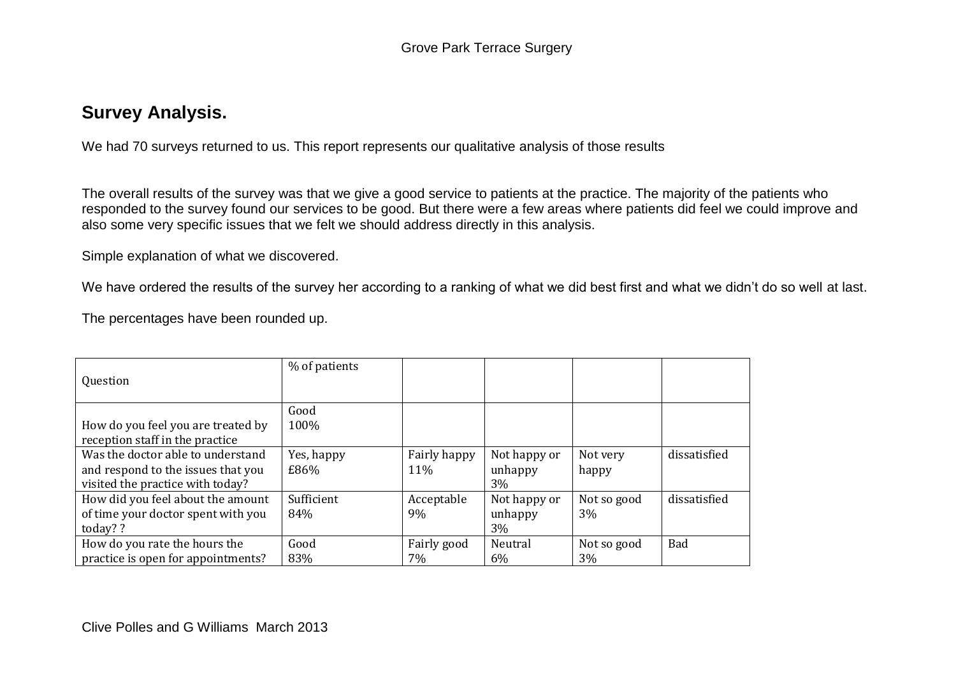# **Survey Analysis.**

We had 70 surveys returned to us. This report represents our qualitative analysis of those results

The overall results of the survey was that we give a good service to patients at the practice. The majority of the patients who responded to the survey found our services to be good. But there were a few areas where patients did feel we could improve and also some very specific issues that we felt we should address directly in this analysis.

Simple explanation of what we discovered.

We have ordered the results of the survey her according to a ranking of what we did best first and what we didn't do so well at last.

The percentages have been rounded up.

| Question                                                                                                    | % of patients      |                     |                               |                   |              |
|-------------------------------------------------------------------------------------------------------------|--------------------|---------------------|-------------------------------|-------------------|--------------|
| How do you feel you are treated by<br>reception staff in the practice                                       | Good<br>100%       |                     |                               |                   |              |
| Was the doctor able to understand<br>and respond to the issues that you<br>visited the practice with today? | Yes, happy<br>£86% | Fairly happy<br>11% | Not happy or<br>unhappy<br>3% | Not very<br>happy | dissatisfied |
| How did you feel about the amount<br>of time your doctor spent with you<br>today? ?                         | Sufficient<br>84%  | Acceptable<br>9%    | Not happy or<br>unhappy<br>3% | Not so good<br>3% | dissatisfied |
| How do you rate the hours the<br>practice is open for appointments?                                         | Good<br>83%        | Fairly good<br>7%   | Neutral<br>$6\%$              | Not so good<br>3% | <b>Bad</b>   |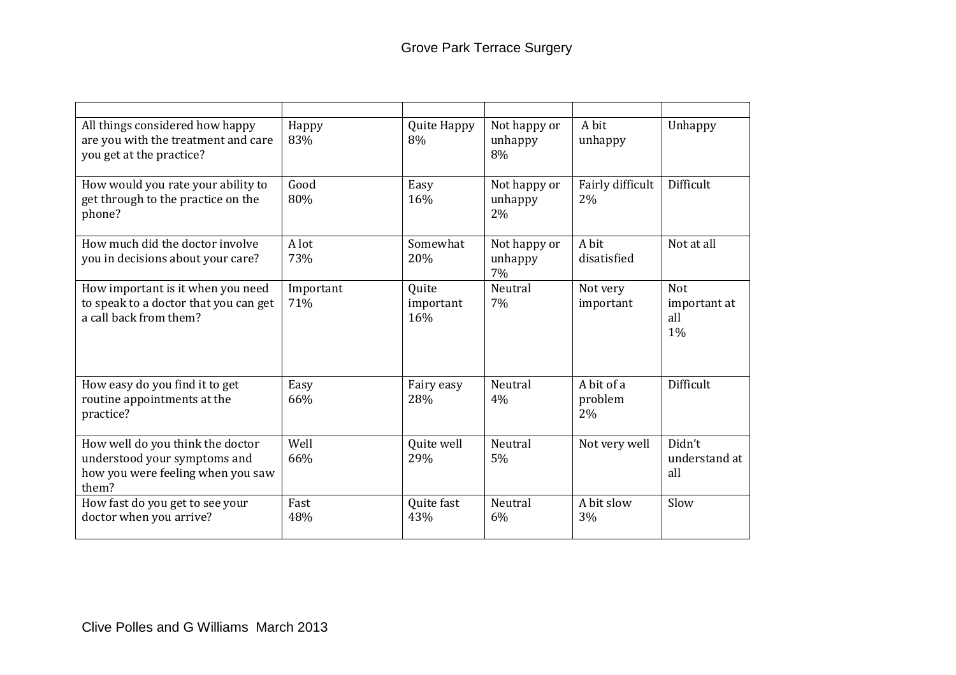| All things considered how happy<br>are you with the treatment and care<br>you get at the practice?             | Happy<br>83%     | Quite Happy<br>8%         | Not happy or<br>unhappy<br>8% | A bit<br>unhappy            | Unhappy                                 |
|----------------------------------------------------------------------------------------------------------------|------------------|---------------------------|-------------------------------|-----------------------------|-----------------------------------------|
| How would you rate your ability to<br>get through to the practice on the<br>phone?                             | Good<br>80%      | Easy<br>16%               | Not happy or<br>unhappy<br>2% | Fairly difficult<br>2%      | Difficult                               |
| How much did the doctor involve<br>you in decisions about your care?                                           | A lot<br>73%     | Somewhat<br>20%           | Not happy or<br>unhappy<br>7% | A bit<br>disatisfied        | Not at all                              |
| How important is it when you need<br>to speak to a doctor that you can get<br>a call back from them?           | Important<br>71% | Quite<br>important<br>16% | Neutral<br>7%                 | Not very<br>important       | <b>Not</b><br>important at<br>all<br>1% |
| How easy do you find it to get<br>routine appointments at the<br>practice?                                     | Easy<br>66%      | Fairy easy<br>28%         | Neutral<br>4%                 | A bit of a<br>problem<br>2% | Difficult                               |
| How well do you think the doctor<br>understood your symptoms and<br>how you were feeling when you saw<br>them? | Well<br>66%      | Quite well<br>29%         | Neutral<br>5%                 | Not very well               | Didn't<br>understand at<br>all          |
| How fast do you get to see your<br>doctor when you arrive?                                                     | Fast<br>48%      | Quite fast<br>43%         | Neutral<br>6%                 | A bit slow<br>3%            | Slow                                    |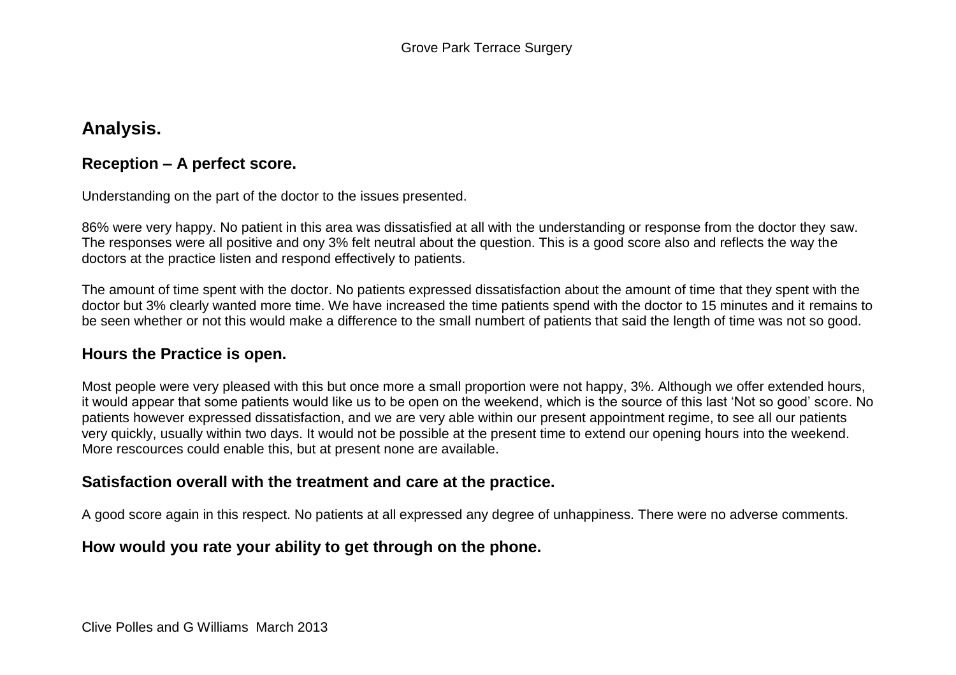# **Analysis.**

#### **Reception – A perfect score.**

Understanding on the part of the doctor to the issues presented.

86% were very happy. No patient in this area was dissatisfied at all with the understanding or response from the doctor they saw. The responses were all positive and ony 3% felt neutral about the question. This is a good score also and reflects the way the doctors at the practice listen and respond effectively to patients.

The amount of time spent with the doctor. No patients expressed dissatisfaction about the amount of time that they spent with the doctor but 3% clearly wanted more time. We have increased the time patients spend with the doctor to 15 minutes and it remains to be seen whether or not this would make a difference to the small numbert of patients that said the length of time was not so good.

#### **Hours the Practice is open.**

Most people were very pleased with this but once more a small proportion were not happy, 3%. Although we offer extended hours, it would appear that some patients would like us to be open on the weekend, which is the source of this last 'Not so good' score. No patients however expressed dissatisfaction, and we are very able within our present appointment regime, to see all our patients very quickly, usually within two days. It would not be possible at the present time to extend our opening hours into the weekend. More rescources could enable this, but at present none are available.

#### **Satisfaction overall with the treatment and care at the practice.**

A good score again in this respect. No patients at all expressed any degree of unhappiness. There were no adverse comments.

## **How would you rate your ability to get through on the phone.**

Clive Polles and G Williams March 2013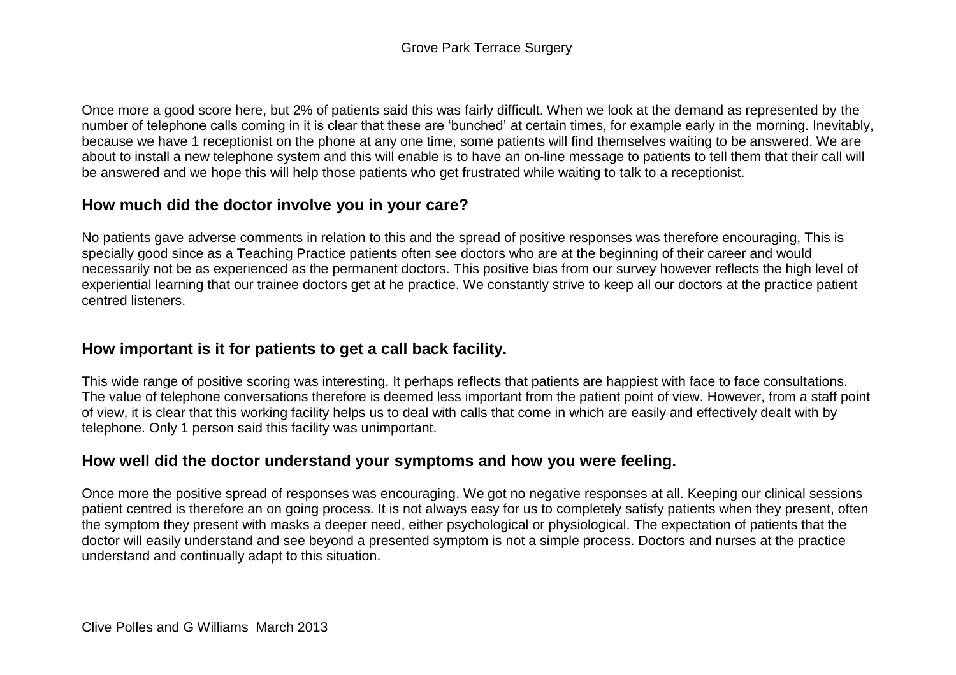Once more a good score here, but 2% of patients said this was fairly difficult. When we look at the demand as represented by the number of telephone calls coming in it is clear that these are 'bunched' at certain times, for example early in the morning. Inevitably, because we have 1 receptionist on the phone at any one time, some patients will find themselves waiting to be answered. We are about to install a new telephone system and this will enable is to have an on-line message to patients to tell them that their call will be answered and we hope this will help those patients who get frustrated while waiting to talk to a receptionist.

## **How much did the doctor involve you in your care?**

No patients gave adverse comments in relation to this and the spread of positive responses was therefore encouraging, This is specially good since as a Teaching Practice patients often see doctors who are at the beginning of their career and would necessarily not be as experienced as the permanent doctors. This positive bias from our survey however reflects the high level of experiential learning that our trainee doctors get at he practice. We constantly strive to keep all our doctors at the practice patient centred listeners.

## **How important is it for patients to get a call back facility.**

This wide range of positive scoring was interesting. It perhaps reflects that patients are happiest with face to face consultations. The value of telephone conversations therefore is deemed less important from the patient point of view. However, from a staff point of view, it is clear that this working facility helps us to deal with calls that come in which are easily and effectively dealt with by telephone. Only 1 person said this facility was unimportant.

## **How well did the doctor understand your symptoms and how you were feeling.**

Once more the positive spread of responses was encouraging. We got no negative responses at all. Keeping our clinical sessions patient centred is therefore an on going process. It is not always easy for us to completely satisfy patients when they present, often the symptom they present with masks a deeper need, either psychological or physiological. The expectation of patients that the doctor will easily understand and see beyond a presented symptom is not a simple process. Doctors and nurses at the practice understand and continually adapt to this situation.